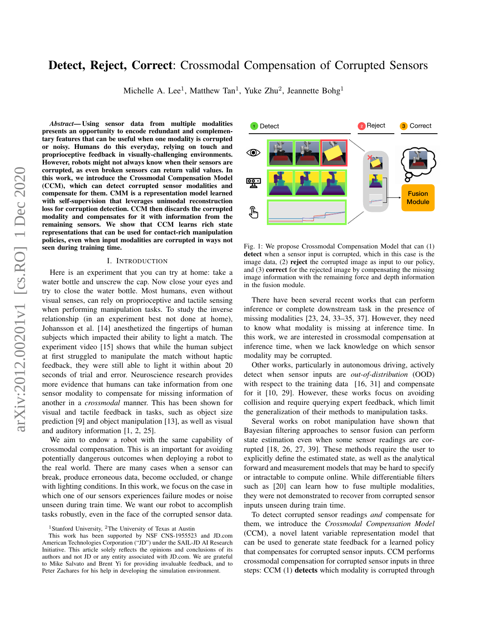# Detect, Reject, Correct: Crossmodal Compensation of Corrupted Sensors

Michelle A. Lee<sup>1</sup>, Matthew Tan<sup>1</sup>, Yuke Zhu<sup>2</sup>, Jeannette Bohg<sup>1</sup>

*Abstract*— Using sensor data from multiple modalities presents an opportunity to encode redundant and complementary features that can be useful when one modality is corrupted or noisy. Humans do this everyday, relying on touch and proprioceptive feedback in visually-challenging environments. However, robots might not always know when their sensors are corrupted, as even broken sensors can return valid values. In this work, we introduce the Crossmodal Compensation Model (CCM), which can detect corrupted sensor modalities and compensate for them. CMM is a representation model learned with self-supervision that leverages unimodal reconstruction loss for corruption detection. CCM then discards the corrupted modality and compensates for it with information from the remaining sensors. We show that CCM learns rich state representations that can be used for contact-rich manipulation policies, even when input modalities are corrupted in ways not seen during training time.

#### I. INTRODUCTION

Here is an experiment that you can try at home: take a water bottle and unscrew the cap. Now close your eyes and try to close the water bottle. Most humans, even without visual senses, can rely on proprioceptive and tactile sensing when performing manipulation tasks. To study the inverse relationship (in an experiment best not done at home), Johansson et al. [14] anesthetized the fingertips of human subjects which impacted their ability to light a match. The experiment video [15] shows that while the human subject at first struggled to manipulate the match without haptic feedback, they were still able to light it within about 20 seconds of trial and error. Neuroscience research provides more evidence that humans can take information from one sensor modality to compensate for missing information of another in a *crossmodal* manner. This has been shown for visual and tactile feedback in tasks, such as object size prediction [9] and object manipulation [13], as well as visual and auditory information [1, 2, 25].

We aim to endow a robot with the same capability of crossmodal compensation. This is an important for avoiding potentially dangerous outcomes when deploying a robot to the real world. There are many cases when a sensor can break, produce erroneous data, become occluded, or change with lighting conditions. In this work, we focus on the case in which one of our sensors experiences failure modes or noise unseen during train time. We want our robot to accomplish tasks robustly, even in the face of the corrupted sensor data.

<span id="page-0-0"></span>

Fig. 1: We propose Crossmodal Compensation Model that can (1) detect when a sensor input is corrupted, which in this case is the image data, (2) reject the corrupted image as input to our policy, and (3) correct for the rejected image by compensating the missing image information with the remaining force and depth information in the fusion module.

There have been several recent works that can perform inference or complete downstream task in the presence of missing modalities [23, 24, 33–35, 37]. However, they need to know what modality is missing at inference time. In this work, we are interested in crossmodal compensation at inference time, when we lack knowledge on which sensor modality may be corrupted.

Other works, particularly in autonomous driving, actively detect when sensor inputs are *out-of-distribution* (OOD) with respect to the training data [16, 31] and compensate for it [10, 29]. However, these works focus on avoiding collision and require querying expert feedback, which limit the generalization of their methods to manipulation tasks.

Several works on robot manipulation have shown that Bayesian filtering approaches to sensor fusion can perform state estimation even when some sensor readings are corrupted [18, 26, 27, 39]. These methods require the user to explicitly define the estimated state, as well as the analytical forward and measurement models that may be hard to specify or intractable to compute online. While differentiable filters such as [20] can learn how to fuse multiple modalities, they were not demonstrated to recover from corrupted sensor inputs unseen during train time.

To detect corrupted sensor readings *and* compensate for them, we introduce the *Crossmodal Compensation Model* (CCM), a novel latent variable representation model that can be used to generate state feedback for a learned policy that compensates for corrupted sensor inputs. CCM performs crossmodal compensation for corrupted sensor inputs in three steps: CCM (1) detects which modality is corrupted through

<sup>&</sup>lt;sup>1</sup> Stanford University, <sup>2</sup>The University of Texas at Austin

This work has been supported by NSF CNS-1955523 and JD.com American Technologies Corporation ("JD") under the SAIL-JD AI Research Initiative. This article solely reflects the opinions and conclusions of its authors and not JD or any entity associated with JD.com. We are grateful to Mike Salvato and Brent Yi for providing invaluable feedback, and to Peter Zachares for his help in developing the simulation environment.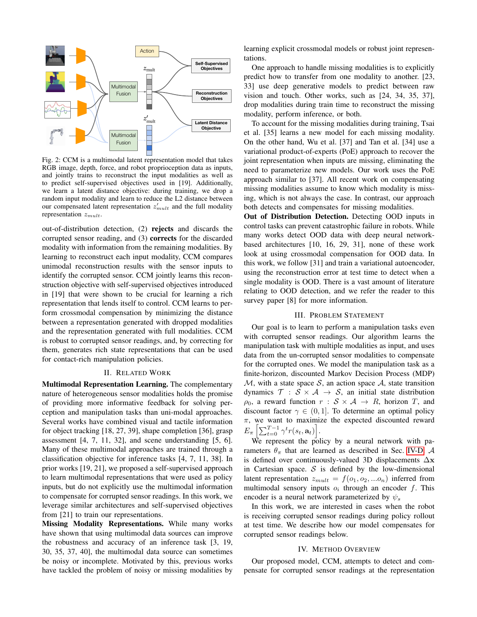

Fig. 2: CCM is a multimodal latent representation model that takes RGB image, depth, force, and robot proprioception data as inputs, and jointly trains to reconstruct the input modalities as well as to predict self-supervised objectives used in [19]. Additionally, we learn a latent distance objective: during training, we drop a random input modality and learn to reduce the L2 distance between our compensated latent representation  $z'_{mult}$  and the full modality representation  $z_{mult}$ .

out-of-distribution detection, (2) rejects and discards the corrupted sensor reading, and (3) corrects for the discarded modality with information from the remaining modalities. By learning to reconstruct each input modality, CCM compares unimodal reconstruction results with the sensor inputs to identify the corrupted sensor. CCM jointly learns this reconstruction objective with self-supervised objectives introduced in [19] that were shown to be crucial for learning a rich representation that lends itself to control. CCM learns to perform crossmodal compensation by minimizing the distance between a representation generated with dropped modalities and the representation generated with full modalities. CCM is robust to corrupted sensor readings, and, by correcting for them, generates rich state representations that can be used for contact-rich manipulation policies.

# II. RELATED WORK

Multimodal Representation Learning. The complementary nature of heterogeneous sensor modalities holds the promise of providing more informative feedback for solving perception and manipulation tasks than uni-modal approaches. Several works have combined visual and tactile information for object tracking [18, 27, 39], shape completion [36], grasp assessment [4, 7, 11, 32], and scene understanding [5, 6]. Many of these multimodal approaches are trained through a classification objective for inference tasks [4, 7, 11, 38]. In prior works [19, 21], we proposed a self-supervised approach to learn multimodal representations that were used as policy inputs, but do not explicitly use the multimodal information to compensate for corrupted sensor readings. In this work, we leverage similar architectures and self-supervised objectives from [21] to train our representations.

Missing Modality Representations. While many works have shown that using multimodal data sources can improve the robustness and accuracy of an inference task [3, 19, 30, 35, 37, 40], the multimodal data source can sometimes be noisy or incomplete. Motivated by this, previous works have tackled the problem of noisy or missing modalities by

learning explicit crossmodal models or robust joint representations.

One approach to handle missing modalities is to explicitly predict how to transfer from one modality to another. [23, 33] use deep generative models to predict between raw vision and touch. Other works, such as [24, 34, 35, 37], drop modalities during train time to reconstruct the missing modality, perform inference, or both.

To account for the missing modalities during training, Tsai et al. [35] learns a new model for each missing modality. On the other hand, Wu et al. [37] and Tan et al. [34] use a variational product-of-experts (PoE) approach to recover the joint representation when inputs are missing, eliminating the need to parameterize new models. Our work uses the PoE approach similar to [37]. All recent work on compensating missing modalities assume to know which modality is missing, which is not always the case. In contrast, our approach both detects and compensates for missing modalities.

Out of Distribution Detection. Detecting OOD inputs in control tasks can prevent catastrophic failure in robots. While many works detect OOD data with deep neural networkbased architectures [10, 16, 29, 31], none of these work look at using crossmodal compensation for OOD data. In this work, we follow [31] and train a variational autoencoder, using the reconstruction error at test time to detect when a single modality is OOD. There is a vast amount of literature relating to OOD detection, and we refer the reader to this survey paper [8] for more information.

#### III. PROBLEM STATEMENT

Our goal is to learn to perform a manipulation tasks even with corrupted sensor readings. Our algorithm learns the manipulation task with multiple modalities as input, and uses data from the un-corrupted sensor modalities to compensate for the corrupted ones. We model the manipulation task as a finite-horizon, discounted Markov Decision Process (MDP)  $M$ , with a state space S, an action space  $A$ , state transition dynamics  $\mathcal{T} : \mathcal{S} \times \mathcal{A} \rightarrow \mathcal{S}$ , an initial state distribution  $\rho_0$ , a reward function  $r : \mathcal{S} \times \mathcal{A} \rightarrow R$ , horizon T, and discount factor  $\gamma \in (0, 1]$ . To determine an optimal policy  $\pi$ , we want to maximize the expected discounted reward  $E_{\pi}\left[\sum_{t=0}^{T-1}\gamma^t r(s_t,\mathbf{a}_t)\right]$ .

We represent the policy by a neural network with parameters  $\theta_{\pi}$  that are learned as described in Sec. [IV-D.](#page-3-0) A is defined over continuously-valued 3D displacements  $\Delta x$ in Cartesian space.  $S$  is defined by the low-dimensional latent representation  $z_{mult} = f(o_1, o_2, ... o_n)$  inferred from multimodal sensory inputs  $o_i$  through an encoder f. This encoder is a neural network parameterized by  $\psi_s$ 

In this work, we are interested in cases when the robot is receiving corrupted sensor readings during policy rollout at test time. We describe how our model compensates for corrupted sensor readings below.

#### IV. METHOD OVERVIEW

Our proposed model, CCM, attempts to detect and compensate for corrupted sensor readings at the representation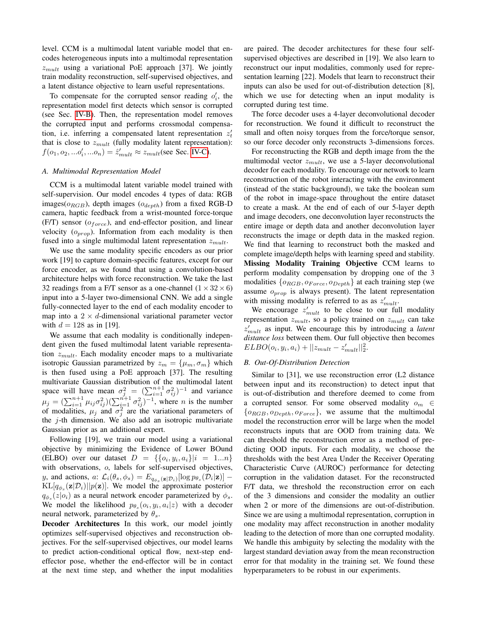level. CCM is a multimodal latent variable model that encodes heterogeneous inputs into a multimodal representation  $z_{mult}$  using a variational PoE approach [37]. We jointly train modality reconstruction, self-supervised objectives, and a latent distance objective to learn useful representations.

To compensate for the corrupted sensor reading  $o'_i$ , the representation model first detects which sensor is corrupted (see Sec. [IV-B\)](#page-2-0). Then, the representation model removes the corrupted input and performs crossmodal compensation, i.e. inferring a compensated latent representation  $z_t$ that is close to  $z_{mult}$  (fully modality latent representation):  $f(o_1, o_2, ... o'_i, ... o_n) = \hat{z}'_{mult} \approx z_{mult}$  (see Sec. [IV-C\)](#page-3-1).

# *A. Multimodal Representation Model*

CCM is a multimodal latent variable model trained with self-supervision. Our model encodes 4 types of data: RGB images( $o_{RGB}$ ), depth images ( $o_{depth}$ ) from a fixed RGB-D camera, haptic feedback from a wrist-mounted force-torque (F/T) sensor ( $o_{force}$ ), and end-effector position, and linear velocity  $(o_{prop})$ . Information from each modality is then fused into a single multimodal latent representation  $z_{mult}$ .

We use the same modality specific encoders as our prior work [19] to capture domain-specific features, except for our force encoder, as we found that using a convolution-based architecture helps with force reconstruction. We take the last 32 readings from a F/T sensor as a one-channel  $(1 \times 32 \times 6)$ input into a 5-layer two-dimensional CNN. We add a single fully-connected layer to the end of each modality encoder to map into a  $2 \times d$ -dimensional variational parameter vector with  $d = 128$  as in [19].

We assume that each modality is conditionally independent given the fused multimodal latent variable representation  $z_{mult}$ . Each modality encoder maps to a multivariate isotropic Gaussian parametrized by  $z_m = {\mu_m, \sigma_m}$  which is then fused using a PoE approach [37]. The resulting multivariate Gaussian distribution of the multimodal latent space will have mean  $\sigma_j^2 = (\sum_{i=1}^{n+1} \sigma_{ij}^2)^{-1}$  and variance  $\mu_j = (\sum_{i=1}^{n+1} \mu_{ij} \sigma_{ij}^2)(\sum_{i=1}^{n+1} \sigma_{ij}^2)^{-1}$ , where *n* is the number of modalities,  $\mu_j$  and  $\sigma_j^2$  are the variational parameters of the  $j$ -th dimension. We also add an isotropic multivariate Gaussian prior as an additional expert.

Following [19], we train our model using a variational objective by minimizing the Evidence of Lower BOund (ELBO) over our dataset  $D = \{ \{o_i, y_i, a_i\} | i = 1...n \}$ with observations, o, labels for self-supervised objectives, y, and actions,  $a: \mathcal{L}_i(\theta_s, \phi_s) = E_{q_{\phi_s}(\mathbf{z}|\mathcal{D}_i)}[\log p_{\theta_s}(\mathcal{D}_i|\mathbf{z})]$  –  $KL[q_{\phi_s}(\mathbf{z}|\mathcal{D}_i)||p(\mathbf{z})]$ . We model the approximate posterior  $q_{\phi_s}(z|o_i)$  as a neural network encoder parameterized by  $\phi_s$ . We model the likelihood  $p_{\theta_s}(o_i, y_i, a_i | z)$  with a decoder neural network, parameterized by  $\theta_s$ .

Decoder Architectures In this work, our model jointly optimizes self-supervised objectives and reconstruction objectives. For the self-supervised objectives, our model learns to predict action-conditional optical flow, next-step endeffector pose, whether the end-effector will be in contact at the next time step, and whether the input modalities are paired. The decoder architectures for these four selfsupervised objectives are described in [19]. We also learn to reconstruct our input modalities, commonly used for representation learning [22]. Models that learn to reconstruct their inputs can also be used for out-of-distribution detection [8], which we use for detecting when an input modality is corrupted during test time.

The force decoder uses a 4-layer deconvolutional decoder for reconstruction. We found it difficult to reconstruct the small and often noisy torques from the force/torque sensor, so our force decoder only reconstructs 3-dimensions forces.

For reconstructing the RGB and depth image from the the multimodal vector  $z_{mult}$ , we use a 5-layer deconvolutional decoder for each modality. To encourage our network to learn reconstruction of the robot interacting with the environment (instead of the static background), we take the boolean sum of the robot in image-space throughout the entire dataset to create a mask. At the end of each of our 5-layer depth and image decoders, one deconvolution layer reconstructs the entire image or depth data and another deconvolution layer reconstructs the image or depth data in the masked region. We find that learning to reconstruct both the masked and complete image/depth helps with learning speed and stability. Missing Modality Training Objective CCM learns to perform modality compensation by dropping one of the 3 modalities  $\{o_{RGB}, o_{Force}, o_{Depth}\}$  at each training step (we assume  $o_{prop}$  is always present). The latent representation with missing modality is referred to as as  $z'_{mult}$ .

We encourage  $z'_{mult}$  to be close to our full modality representation  $z_{mult}$ , so a policy trained on  $z_{mult}$  can take z 0 mult as input. We encourage this by introducing a *latent distance loss* between them. Our full objective then becomes  $ELBO(o_i, y_i, a_i) + ||z_{mult} - z'_{mult}||_2^2.$ 

#### <span id="page-2-0"></span>*B. Out-Of-Distribution Detection*

Similar to [31], we use reconstruction error (L2 distance between input and its reconstruction) to detect input that is out-of-distribution and therefore deemed to come from a corrupted sensor. For some observed modality  $o_m \in$  $\{o_{RGB}, o_{Depth}, o_{Force}\}\$ , we assume that the multimodal model the reconstruction error will be large when the model reconstructs inputs that are OOD from training data. We can threshold the reconstruction error as a method of predicting OOD inputs. For each modality, we choose the thresholds with the best Area Under the Receiver Operating Characteristic Curve (AUROC) performance for detecting corruption in the validation dataset. For the reconstructed F/T data, we threshold the reconstruction error on each of the 3 dimensions and consider the modality an outlier when 2 or more of the dimensions are out-of-distribution. Since we are using a multimodal representation, corruption in one modality may affect reconstruction in another modality leading to the detection of more than one corrupted modality. We handle this ambiguity by selecting the modality with the largest standard deviation away from the mean reconstruction error for that modality in the training set. We found these hyperparameters to be robust in our experiments.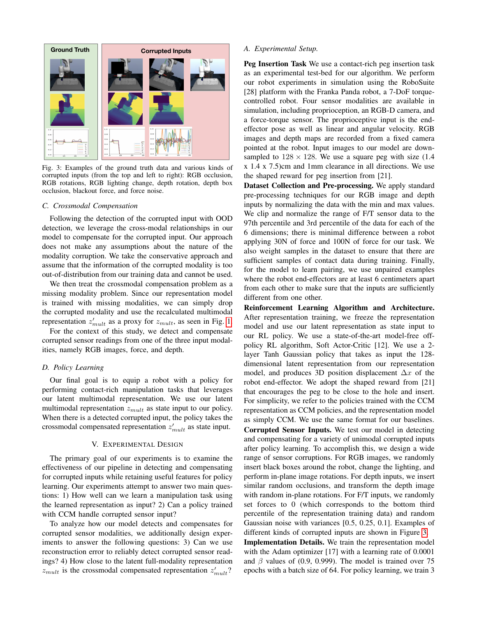<span id="page-3-2"></span>

Fig. 3: Examples of the ground truth data and various kinds of corrupted inputs (from the top and left to right): RGB occlusion, RGB rotations, RGB lighting change, depth rotation, depth box occlusion, blackout force, and force noise.

# <span id="page-3-1"></span>*C. Crossmodal Compensation*

Following the detection of the corrupted input with OOD detection, we leverage the cross-modal relationships in our model to compensate for the corrupted input. Our approach does not make any assumptions about the nature of the modality corruption. We take the conservative approach and assume that the information of the corrupted modality is too out-of-distribution from our training data and cannot be used.

We then treat the crossmodal compensation problem as a missing modality problem. Since our representation model is trained with missing modalities, we can simply drop the corrupted modality and use the recalculated multimodal representation  $z'_{mult}$  as a proxy for  $z_{mult}$ , as seen in Fig. [1.](#page-0-0)

For the context of this study, we detect and compensate corrupted sensor readings from one of the three input modalities, namely RGB images, force, and depth.

## <span id="page-3-0"></span>*D. Policy Learning*

Our final goal is to equip a robot with a policy for performing contact-rich manipulation tasks that leverages our latent multimodal representation. We use our latent multimodal representation  $z_{mult}$  as state input to our policy. When there is a detected corrupted input, the policy takes the crossmodal compensated representation  $z'_{mult}$  as state input.

#### V. EXPERIMENTAL DESIGN

The primary goal of our experiments is to examine the effectiveness of our pipeline in detecting and compensating for corrupted inputs while retaining useful features for policy learning. Our experiments attempt to answer two main questions: 1) How well can we learn a manipulation task using the learned representation as input? 2) Can a policy trained with CCM handle corrupted sensor input?

To analyze how our model detects and compensates for corrupted sensor modalities, we additionally design experiments to answer the following questions: 3) Can we use reconstruction error to reliably detect corrupted sensor readings? 4) How close to the latent full-modality representation  $z_{mult}$  is the crossmodal compensated representation  $z'_{mult}$ ?

#### <span id="page-3-3"></span>*A. Experimental Setup.*

Peg Insertion Task We use a contact-rich peg insertion task as an experimental test-bed for our algorithm. We perform our robot experiments in simulation using the RoboSuite [28] platform with the Franka Panda robot, a 7-DoF torquecontrolled robot. Four sensor modalities are available in simulation, including proprioception, an RGB-D camera, and a force-torque sensor. The proprioceptive input is the endeffector pose as well as linear and angular velocity. RGB images and depth maps are recorded from a fixed camera pointed at the robot. Input images to our model are downsampled to  $128 \times 128$ . We use a square peg with size (1.4) x 1.4 x 7.5)cm and 1mm clearance in all directions. We use the shaped reward for peg insertion from [21].

Dataset Collection and Pre-processing. We apply standard pre-processing techniques for our RGB image and depth inputs by normalizing the data with the min and max values. We clip and normalize the range of F/T sensor data to the 97th percentile and 3rd percentile of the data for each of the 6 dimensions; there is minimal difference between a robot applying 30N of force and 100N of force for our task. We also weight samples in the dataset to ensure that there are sufficient samples of contact data during training. Finally, for the model to learn pairing, we use unpaired examples where the robot end-effectors are at least 6 centimeters apart from each other to make sure that the inputs are sufficiently different from one other.

Reinforcement Learning Algorithm and Architecture. After representation training, we freeze the representation model and use our latent representation as state input to our RL policy. We use a state-of-the-art model-free offpolicy RL algorithm, Soft Actor-Critic [12]. We use a 2 layer Tanh Gaussian policy that takes as input the 128 dimensional latent representation from our representation model, and produces 3D position displacement  $\Delta x$  of the robot end-effector. We adopt the shaped reward from [21] that encourages the peg to be close to the hole and insert. For simplicity, we refer to the policies trained with the CCM representation as CCM policies, and the representation model as simply CCM. We use the same format for our baselines.

Corrupted Sensor Inputs. We test our model in detecting and compensating for a variety of unimodal corrupted inputs after policy learning. To accomplish this, we design a wide range of sensor corruptions. For RGB images, we randomly insert black boxes around the robot, change the lighting, and perform in-plane image rotations. For depth inputs, we insert similar random occlusions, and transform the depth image with random in-plane rotations. For F/T inputs, we randomly set forces to 0 (which corresponds to the bottom third percentile of the representation training data) and random Gaussian noise with variances [0.5, 0.25, 0.1]. Examples of different kinds of corrupted inputs are shown in Figure [3.](#page-3-2)

Implementation Details. We train the representation model with the Adam optimizer [17] with a learning rate of 0.0001 and  $\beta$  values of (0.9, 0.999). The model is trained over 75 epochs with a batch size of 64. For policy learning, we train 3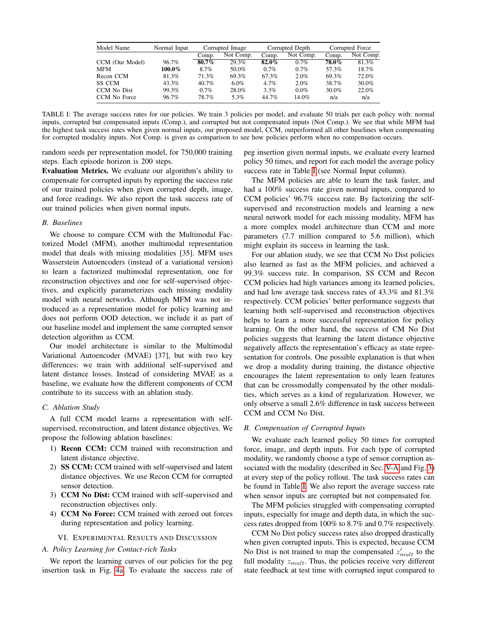<span id="page-4-0"></span>

| Model Name      | Normal Input |          | Corrupted Image | Corrupted Depth |           | Corrupted Force |           |
|-----------------|--------------|----------|-----------------|-----------------|-----------|-----------------|-----------|
|                 |              | Comp.    | Not Comp.       | Comp.           | Not Comp. | Comp.           | Not Comp. |
| CCM (Our Model) | 96.7%        | $80.7\%$ | 29.3%           | $82.0\%$        | 0.7%      | 78.0%           | 81.3%     |
| MFM             | 100.0%       | 8.7%     | 50.0%           | $0.7\%$         | 0.7%      | 57.3%           | 18.7%     |
| Recon CCM       | 81.3%        | 71.3%    | 69.3%           | 67.3%           | 2.0%      | 69.3%           | 72.0%     |
| SS CCM          | 43.3%        | 40.7%    | $6.0\%$         | $4.7\%$         | 2.0%      | 38.7%           | $30.0\%$  |
| CCM No Dist     | 99.3%        | $0.7\%$  | 28.0%           | $3.3\%$         | $0.0\%$   | 30.0%           | 22.0%     |
| CCM No Force    | 96.7%        | 78.7%    | 5.3%            | 44.7%           | 14.0%     | n/a             | n/a       |

TABLE I: The average success rates for our policies. We train 3 policies per model, and evaluate 50 trials per each policy with: normal inputs, corrupted but compensated inputs (Comp.), and corrupted but not compensated inputs (Not Comp.). We see that while MFM had the highest task success rates when given normal inputs, our proposed model, CCM, outperformed all other baselines when compensating for corrupted modality inputs. Not Comp. is given as comparison to see how policies perform when no compensation occurs.

random seeds per representation model, for 750,000 training steps. Each episode horizon is 200 steps.

Evaluation Metrics. We evaluate our algorithm's ability to compensate for corrupted inputs by reporting the success rate of our trained policies when given corrupted depth, image, and force readings. We also report the task success rate of our trained policies when given normal inputs.

## *B. Baselines*

We choose to compare CCM with the Multimodal Factorized Model (MFM), another multimodal representation model that deals with missing modalities [35]. MFM uses Wasserstein Autoencoders (instead of a variational version) to learn a factorized multimodal representation, one for reconstruction objectives and one for self-supervised objectives, and explicitly parameterizes each missing modality model with neural networks. Although MFM was not introduced as a representation model for policy learning and does not perform OOD detection, we include it as part of our baseline model and implement the same corrupted sensor detection algorithm as CCM.

Our model architecture is similar to the Multimodal Variational Autoencoder (MVAE) [37], but with two key differences: we train with additional self-supervised and latent distance losses. Instead of considering MVAE as a baseline, we evaluate how the different components of CCM contribute to its success with an ablation study.

# *C. Ablation Study*

A full CCM model learns a representation with selfsupervised, reconstruction, and latent distance objectives. We propose the following ablation baselines:

- 1) Recon CCM: CCM trained with reconstruction and latent distance objective.
- 2) SS CCM: CCM trained with self-supervised and latent distance objectives. We use Recon CCM for corrupted sensor detection.
- 3) CCM No Dist: CCM trained with self-supervised and reconstruction objectives only.
- 4) CCM No Force: CCM trained with zeroed out forces during representation and policy learning.

#### VI. EXPERIMENTAL RESULTS AND DISCUSSION

# *A. Policy Learning for Contact-rich Tasks*

We report the learning curves of our policies for the peg insertion task in Fig. [4a.](#page-5-0) To evaluate the success rate of peg insertion given normal inputs, we evaluate every learned policy 50 times, and report for each model the average policy success rate in Table [I](#page-4-0) (see Normal Input column).

The MFM policies are able to learn the task faster, and had a 100% success rate given normal inputs, compared to CCM policies' 96.7% success rate. By factorizing the selfsupervised and reconstruction models and learning a new neural network model for each missing modality, MFM has a more complex model architecture than CCM and more parameters (7.7 million compared to 5.6 million), which might explain its success in learning the task.

For our ablation study, we see that CCM No Dist policies also learned as fast as the MFM policies, and achieved a 99.3% success rate. In comparison, SS CCM and Recon CCM policies had high variances among its learned policies, and had low average task success rates of 43.3% and 81.3% respectively. CCM policies' better performance suggests that learning both self-supervised and reconstruction objectives helps to learn a more successful representation for policy learning. On the other hand, the success of CM No Dist policies suggests that learning the latent distance objective negatively affects the representation's efficacy as state representation for controls. One possible explanation is that when we drop a modality during training, the distance objective encourages the latent representation to only learn features that can be crossmodally compensated by the other modalities, which serves as a kind of regularization. However, we only observe a small 2.6% difference in task success between CCM and CCM No Dist.

#### *B. Compensation of Corrupted Inputs*

We evaluate each learned policy 50 times for corrupted force, image, and depth inputs. For each type of corrupted modality, we randomly choose a type of sensor corruption associated with the modality (described in Sec. [V-A](#page-3-3) and Fig. [3\)](#page-3-2) at every step of the policy rollout. The task success rates can be found in Table [I.](#page-4-0) We also report the average success rate when sensor inputs are corrupted but not compensated for.

The MFM policies struggled with compensating corrupted inputs, especially for image and depth data, in which the success rates dropped from 100% to 8.7% and 0.7% respectively.

CCM No Dist policy success rates also dropped drastically when given corrupted inputs. This is expected, because CCM No Dist is not trained to map the compensated  $z'_{mult}$  to the full modality  $z_{mult}$ . Thus, the policies receive very different state feedback at test time with corrupted input compared to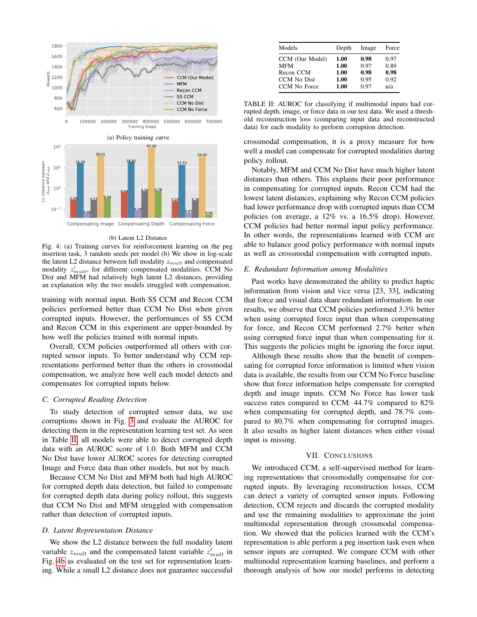<span id="page-5-0"></span>

#### (b) Latent L2 Distance

Fig. 4: (a) Training curves for reinforcement learning on the peg insertion task, 3 random seeds per model (b) We show in log-scale the latent L2 distance between full modality  $z_{mult}$  and compensated modality  $z'_{mult}$ , for different compensated modalities. CCM No Dist and MFM had relatively high latent L2 distances, providing an explanation why the two models struggled with compensation.

training with normal input. Both SS CCM and Recon CCM policies performed better than CCM No Dist when given corrupted inputs. However, the performances of SS CCM and Recon CCM in this experiment are upper-bounded by how well the policies trained with normal inputs.

Overall, CCM policies outperformed all others with corrupted sensor inputs. To better understand why CCM representations performed better than the others in crossmodal compensation, we analyze how well each model detects and compensates for corrupted inputs below.

# *C. Corrupted Reading Detection*

To study detection of corrupted sensor data, we use corruptions shown in Fig. [3](#page-3-2) and evaluate the AUROC for detecting them in the representation learning test set. As seen in Table [II,](#page-5-1) all models were able to detect corrupted depth data with an AUROC score of 1.0. Both MFM and CCM No Dist have lower AUROC scores for detecting corrupted Image and Force data than other models, but not by much.

Because CCM No Dist and MFM both had high AUROC for corrupted depth data detection, but failed to compensate for corrupted depth data during policy rollout, this suggests that CCM No Dist and MFM struggled with compensation rather than detection of corrupted inputs.

### *D. Latent Representation Distance*

We show the L2 distance between the full modality latent variable  $z_{mult}$  and the compensated latent variable  $z'_{mult}$  in Fig. [4b](#page-5-0) as evaluated on the test set for representation learning. While a small L2 distance does not guarantee successful

<span id="page-5-1"></span>

| Models          | Depth | Image | Force |
|-----------------|-------|-------|-------|
| CCM (Our Model) | 1.00  | 0.98  | 0.97  |
| <b>MFM</b>      | 1.00  | 0.97  | 0.89  |
| Recon CCM       | 1.00  | 0.98  | 0.98  |
| CCM No Dist     | 1.00  | 0.95  | 0.92  |
| CCM No Force    | 1.00  | 0.97  | n/a   |

TABLE II: AUROC for classifying if multimodal inputs had corrupted depth, image, or force data in our test data. We used a threshold reconstruction loss (comparing input data and reconstructed data) for each modality to perform corruption detection.

crossmodal compensation, it is a proxy measure for how well a model can compensate for corrupted modalities during policy rollout.

Notably, MFM and CCM No Dist have much higher latent distances than others. This explains their poor performance in compensating for corrupted inputs. Recon CCM had the lowest latent distances, explaining why Recon CCM policies had lower performance drop with corrupted inputs than CCM policies (on average, a 12% vs. a 16.5% drop). However, CCM policies had better normal input policy performance. In other words, the representations learned with CCM are able to balance good policy performance with normal inputs as well as crossmodal compensation with corrupted inputs.

#### *E. Redundant Information among Modalities*

Past works have demonstrated the ability to predict haptic information from vision and vice versa [23, 33], indicating that force and visual data share redundant information. In our results, we observe that CCM policies performed 3.3% better when using corrupted force input than when compensating for force, and Recon CCM performed 2.7% better when using corrupted force input than when compensating for it. This suggests the policies might be ignoring the force input.

Although these results show that the benefit of compensating for corrupted force information is limited when vision data is available, the results from our CCM No Force baseline show that force information helps compensate for corrupted depth and image inputs. CCM No Force has lower task success rates compared to CCM: 44.7% compared to 82% when compensating for corrupted depth, and 78.7% compared to 80.7% when compensating for corrupted images. It also results in higher latent distances when either visual input is missing.

#### VII. CONCLUSIONS

We introduced CCM, a self-supervised method for learning representations that crossmodally compensatse for corrupted inputs. By leveraging reconstruction losses, CCM can detect a variety of corrupted sensor inputs. Following detection, CCM rejects and discards the corrupted modality and use the remaining modalities to approximate the joint multimodal representation through crossmodal compensation. We showed that the policies learned with the CCM's representation is able perform a peg insertion task even when sensor inputs are corrupted. We compare CCM with other multimodal representation learning baselines, and perform a thorough analysis of how our model performs in detecting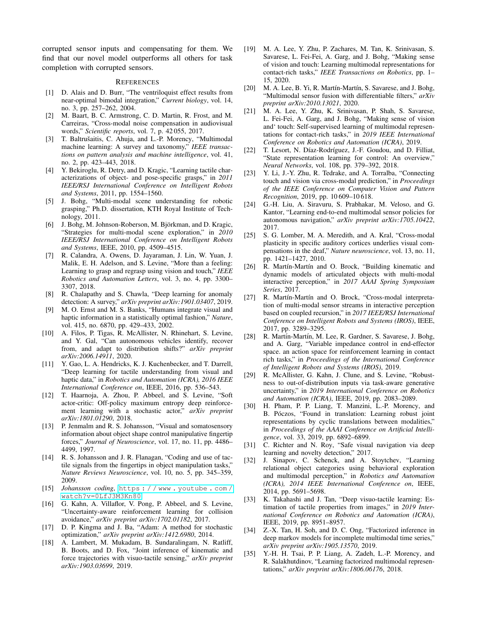corrupted sensor inputs and compensating for them. We find that our novel model outperforms all others for task completion with corrupted sensors.

#### **REFERENCES**

- [1] D. Alais and D. Burr, "The ventriloquist effect results from near-optimal bimodal integration," *Current biology*, vol. 14, no. 3, pp. 257–262, 2004.
- [2] M. Baart, B. C. Armstrong, C. D. Martin, R. Frost, and M. Carreiras, "Cross-modal noise compensation in audiovisual words," *Scientific reports*, vol. 7, p. 42 055, 2017.
- [3] T. Baltrušaitis, C. Ahuja, and L.-P. Morency, "Multimodal machine learning: A survey and taxonomy," *IEEE transactions on pattern analysis and machine intelligence*, vol. 41, no. 2, pp. 423–443, 2018.
- [4] Y. Bekiroglu, R. Detry, and D. Kragic, "Learning tactile characterizations of object- and pose-specific grasps," in *2011 IEEE/RSJ International Conference on Intelligent Robots and Systems*, 2011, pp. 1554–1560.
- [5] J. Bohg, "Multi-modal scene understanding for robotic grasping," Ph.D. dissertation, KTH Royal Institute of Technology, 2011.
- [6] J. Bohg, M. Johnson-Roberson, M. Björkman, and D. Kragic, "Strategies for multi-modal scene exploration," in *2010 IEEE/RSJ International Conference on Intelligent Robots and Systems*, IEEE, 2010, pp. 4509–4515.
- [7] R. Calandra, A. Owens, D. Jayaraman, J. Lin, W. Yuan, J. Malik, E. H. Adelson, and S. Levine, "More than a feeling: Learning to grasp and regrasp using vision and touch," *IEEE Robotics and Automation Letters*, vol. 3, no. 4, pp. 3300– 3307, 2018.
- [8] R. Chalapathy and S. Chawla, "Deep learning for anomaly detection: A survey," *arXiv preprint arXiv:1901.03407*, 2019.
- [9] M. O. Ernst and M. S. Banks, "Humans integrate visual and haptic information in a statistically optimal fashion," *Nature*, vol. 415, no. 6870, pp. 429–433, 2002.
- [10] A. Filos, P. Tigas, R. McAllister, N. Rhinehart, S. Levine, and Y. Gal, "Can autonomous vehicles identify, recover from, and adapt to distribution shifts?" *arXiv preprint arXiv:2006.14911*, 2020.
- [11] Y. Gao, L. A. Hendricks, K. J. Kuchenbecker, and T. Darrell, "Deep learning for tactile understanding from visual and haptic data," in *Robotics and Automation (ICRA), 2016 IEEE International Conference on*, IEEE, 2016, pp. 536–543.
- [12] T. Haarnoja, A. Zhou, P. Abbeel, and S. Levine, "Soft actor-critic: Off-policy maximum entropy deep reinforcement learning with a stochastic actor," *arXiv preprint arXiv:1801.01290*, 2018.
- [13] P. Jenmalm and R. S. Johansson, "Visual and somatosensory information about object shape control manipulative fingertip forces," *Journal of Neuroscience*, vol. 17, no. 11, pp. 4486– 4499, 1997.
- [14] R. S. Johansson and J. R. Flanagan, "Coding and use of tactile signals from the fingertips in object manipulation tasks," *Nature Reviews Neuroscience*, vol. 10, no. 5, pp. 345–359, 2009.
- [15] *Johansson coding*, [https : / / www . youtube . com /](https://www.youtube.com/watch?v=0LfJ3M3Kn80) [watch?v=0LfJ3M3Kn80](https://www.youtube.com/watch?v=0LfJ3M3Kn80).
- [16] G. Kahn, A. Villaflor, V. Pong, P. Abbeel, and S. Levine, "Uncertainty-aware reinforcement learning for collision avoidance," *arXiv preprint arXiv:1702.01182*, 2017.
- [17] D. P. Kingma and J. Ba, "Adam: A method for stochastic optimization," *arXiv preprint arXiv:1412.6980*, 2014.
- [18] A. Lambert, M. Mukadam, B. Sundaralingam, N. Ratliff, B. Boots, and D. Fox, "Joint inference of kinematic and force trajectories with visuo-tactile sensing," *arXiv preprint arXiv:1903.03699*, 2019.
- [19] M. A. Lee, Y. Zhu, P. Zachares, M. Tan, K. Srinivasan, S. Savarese, L. Fei-Fei, A. Garg, and J. Bohg, "Making sense of vision and touch: Learning multimodal representations for contact-rich tasks," *IEEE Transactions on Robotics*, pp. 1– 15, 2020.
- [20] M. A. Lee, B. Yi, R. Martín-Martín, S. Savarese, and J. Bohg, "Multimodal sensor fusion with differentiable filters," *arXiv preprint arXiv:2010.13021*, 2020.
- [21] M. A. Lee, Y. Zhu, K. Srinivasan, P. Shah, S. Savarese, L. Fei-Fei, A. Garg, and J. Bohg, "Making sense of vision and' touch: Self-supervised learning of multimodal representations for contact-rich tasks," in *2019 IEEE International Conference on Robotics and Automation (ICRA)*, 2019.
- [22] T. Lesort, N. Díaz-Rodríguez, J.-F. Goudou, and D. Filliat, "State representation learning for control: An overview," *Neural Networks*, vol. 108, pp. 379–392, 2018.
- [23] Y. Li, J.-Y. Zhu, R. Tedrake, and A. Torralba, "Connecting touch and vision via cross-modal prediction," in *Proceedings of the IEEE Conference on Computer Vision and Pattern Recognition*, 2019, pp. 10 609–10 618.
- [24] G.-H. Liu, A. Siravuru, S. Prabhakar, M. Veloso, and G. Kantor, "Learning end-to-end multimodal sensor policies for autonomous navigation," *arXiv preprint arXiv:1705.10422*, 2017.
- [25] S. G. Lomber, M. A. Meredith, and A. Kral, "Cross-modal plasticity in specific auditory cortices underlies visual compensations in the deaf," *Nature neuroscience*, vol. 13, no. 11, pp. 1421–1427, 2010.
- [26] R. Martín-Martín and O. Brock, "Building kinematic and dynamic models of articulated objects with multi-modal interactive perception," in *2017 AAAI Spring Symposium Series*, 2017.
- [27] R. Martín-Martín and O. Brock, "Cross-modal interpretation of multi-modal sensor streams in interactive perception based on coupled recursion," in *2017 IEEE/RSJ International Conference on Intelligent Robots and Systems (IROS)*, IEEE, 2017, pp. 3289–3295.
- [28] R. Martín-Martín, M. Lee, R. Gardner, S. Savarese, J. Bohg, and A. Garg, "Variable impedance control in end-effector space. an action space for reinforcement learning in contact rich tasks," in *Proceedings of the International Conference of Intelligent Robots and Systems (IROS)*, 2019.
- [29] R. McAllister, G. Kahn, J. Clune, and S. Levine, "Robustness to out-of-distribution inputs via task-aware generative uncertainty," in *2019 International Conference on Robotics and Automation (ICRA)*, IEEE, 2019, pp. 2083–2089.
- [30] H. Pham, P. P. Liang, T. Manzini, L.-P. Morency, and B. Póczos, "Found in translation: Learning robust joint representations by cyclic translations between modalities," in *Proceedings of the AAAI Conference on Artificial Intelligence*, vol. 33, 2019, pp. 6892–6899.
- [31] C. Richter and N. Roy, "Safe visual navigation via deep learning and novelty detection," 2017.
- [32] J. Sinapov, C. Schenck, and A. Stoytchev, "Learning relational object categories using behavioral exploration and multimodal perception," in *Robotics and Automation (ICRA), 2014 IEEE International Conference on*, IEEE, 2014, pp. 5691–5698.
- [33] K. Takahashi and J. Tan, "Deep visuo-tactile learning: Estimation of tactile properties from images," in *2019 International Conference on Robotics and Automation (ICRA)*, IEEE, 2019, pp. 8951–8957.
- [34] Z.-X. Tan, H. Soh, and D. C. Ong, "Factorized inference in deep markov models for incomplete multimodal time series," *arXiv preprint arXiv:1905.13570*, 2019.
- [35] Y.-H. H. Tsai, P. P. Liang, A. Zadeh, L.-P. Morency, and R. Salakhutdinov, "Learning factorized multimodal representations," *arXiv preprint arXiv:1806.06176*, 2018.